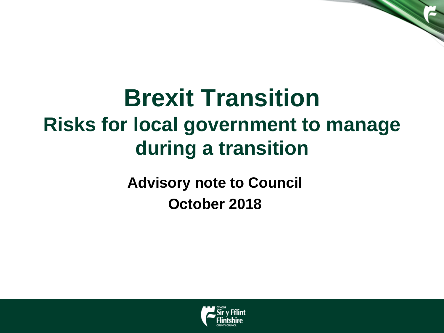# **Brexit Transition Risks for local government to manage during a transition**

**Advisory note to Council October 2018**

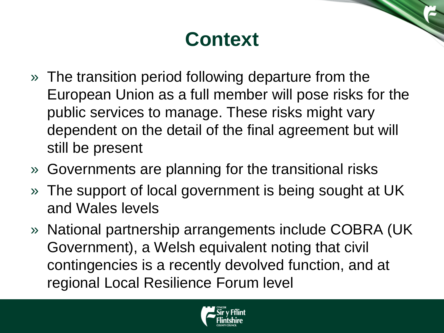### **Context**

- » The transition period following departure from the European Union as a full member will pose risks for the public services to manage. These risks might vary dependent on the detail of the final agreement but will still be present
- » Governments are planning for the transitional risks
- » The support of local government is being sought at UK and Wales levels
- » National partnership arrangements include COBRA (UK Government), a Welsh equivalent noting that civil contingencies is a recently devolved function, and at regional Local Resilience Forum level

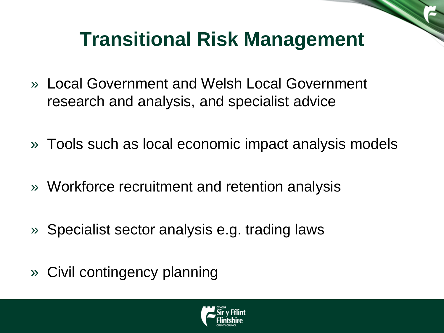### **Transitional Risk Management**

- » Local Government and Welsh Local Government research and analysis, and specialist advice
- » Tools such as local economic impact analysis models
- » Workforce recruitment and retention analysis
- » Specialist sector analysis e.g. trading laws
- » Civil contingency planning

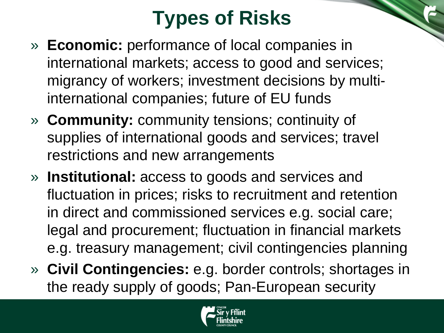# **Types of Risks**

- » **Economic:** performance of local companies in international markets; access to good and services; migrancy of workers; investment decisions by multiinternational companies; future of EU funds
- » **Community:** community tensions; continuity of supplies of international goods and services; travel restrictions and new arrangements
- » **Institutional:** access to goods and services and fluctuation in prices; risks to recruitment and retention in direct and commissioned services e.g. social care; legal and procurement; fluctuation in financial markets e.g. treasury management; civil contingencies planning
- » **Civil Contingencies:** e.g. border controls; shortages in the ready supply of goods; Pan-European security

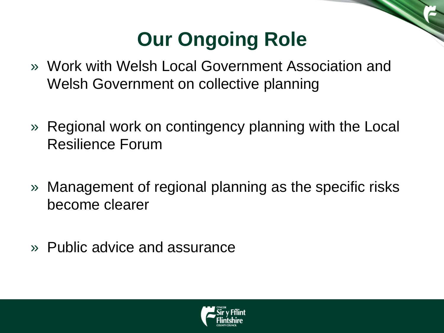### **Our Ongoing Role**

- » Work with Welsh Local Government Association and Welsh Government on collective planning
- » Regional work on contingency planning with the Local Resilience Forum
- » Management of regional planning as the specific risks become clearer
- » Public advice and assurance